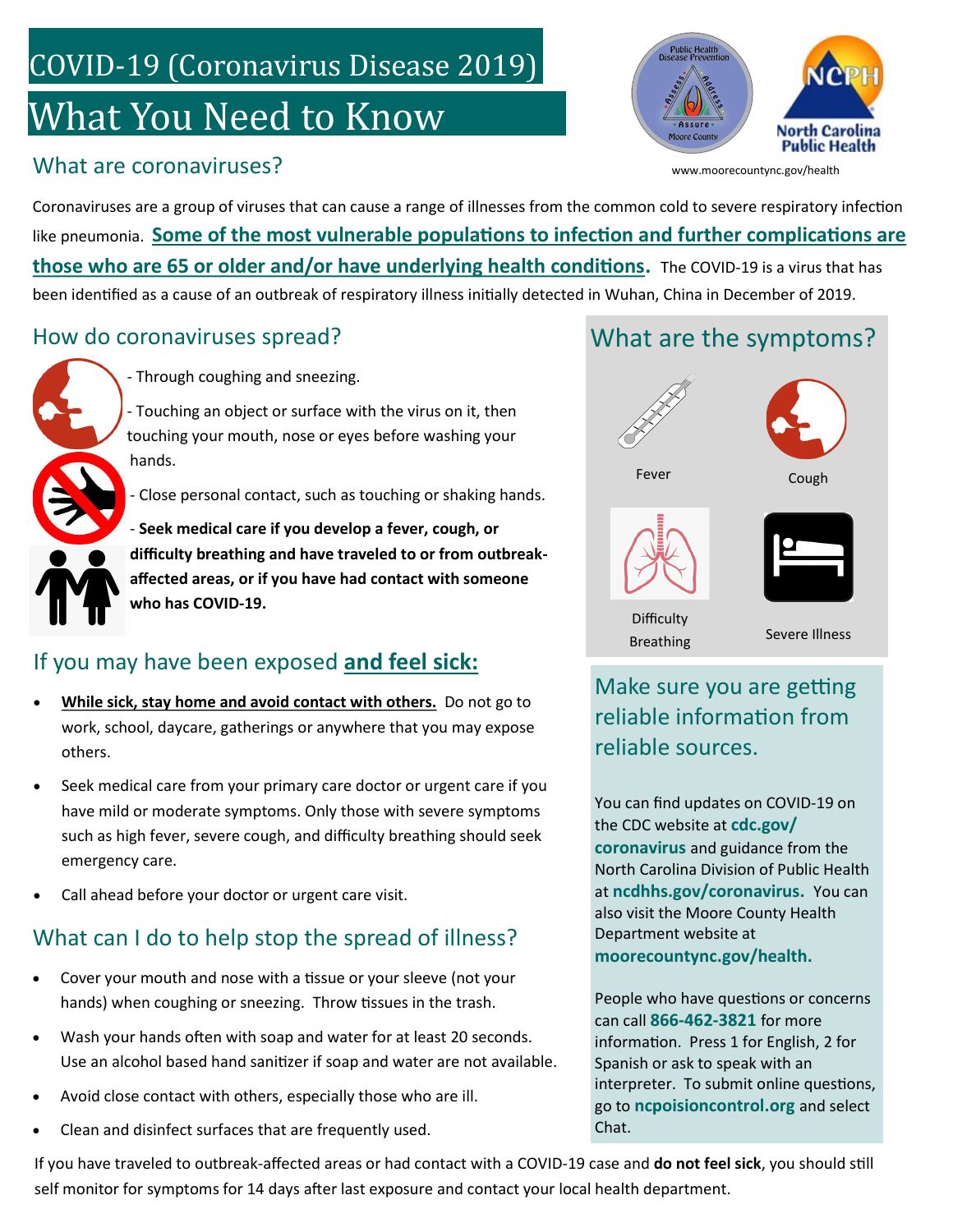## COVID-19 (Coronavirus Disease 2019)

# What You Need to Know

### What are coronaviruses?



www.moorecountync.gov/health

Coronaviruses are a group of viruses that can cause a range of illnesses from the common cold to severe respiratory infection like pneumonia. **Some of the most vulnerable populations to infection and further complications are those who are 65 or older and/or have underlying health conditions.** The COVID-19 is a virus that has been identified as a cause of an outbreak of respiratory illness initially detected in Wuhan, China in December of 2019.

#### How do coronaviruses spread?



- Through coughing and sneezing.

- Touching an object or surface with the virus on it, then touching your mouth, nose or eyes before washing your hands.

- Close personal contact, such as touching or shaking hands.

- **Seek medical care if you develop a fever, cough, or difficulty breathing and have traveled to or from outbreakaffected areas, or if you have had contact with someone who has COVID-19.**

#### If you may have been exposed **and feel sick:**

- **While sick, stay home and avoid contact with others.** Do not go to work, school, daycare, gatherings or anywhere that you may expose others.
- Seek medical care from your primary care doctor or urgent care if you have mild or moderate symptoms. Only those with severe symptoms such as high fever, severe cough, and difficulty breathing should seek emergency care.
- Call ahead before your doctor or urgent care visit.

### What can I do to help stop the spread of illness?

- Cover your mouth and nose with a tissue or your sleeve (not your hands) when coughing or sneezing. Throw tissues in the trash.
- Wash your hands often with soap and water for at least 20 seconds. Use an alcohol based hand sanitizer if soap and water are not available.
- Avoid close contact with others, especially those who are ill.
- Clean and disinfect surfaces that are frequently used.

If you have traveled to outbreak-affected areas or had contact with a COVID-19 case and **do not feel sick**, you should still self monitor for symptoms for 14 days after last exposure and contact your local health department.

### What are the symptoms?



#### Make sure you are getting reliable information from reliable sources.

You can find updates on COVID-19 on the CDC website at **cdc.gov/ coronavirus** and guidance from the North Carolina Division of Public Health at **ncdhhs.gov/coronavirus.** You can also visit the Moore County Health Department website at **moorecountync.gov/health.**

People who have questions or concerns can call **866-462-3821** for more information. Press 1 for English, 2 for Spanish or ask to speak with an interpreter. To submit online questions, go to **ncpoisioncontrol.org** and select Chat.